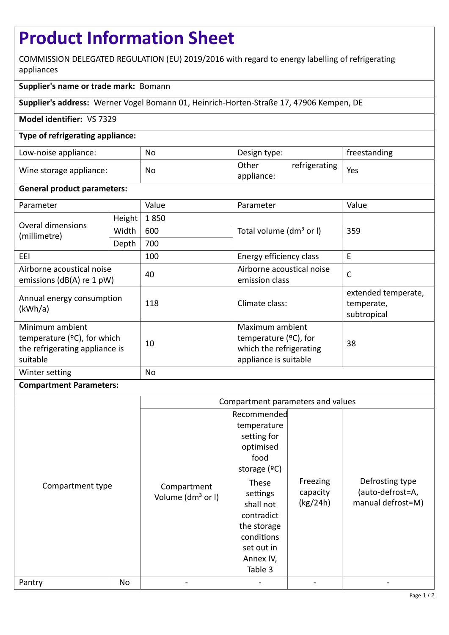# **Product Information Sheet**

COMMISSION DELEGATED REGULATION (EU) 2019/2016 with regard to energy labelling of refrigerating appliances

# **Supplier's name or trade mark:** Bomann

**Supplier's address:** Werner Vogel Bomann 01, Heinrich-Horten-Straße 17, 47906 Kempen, DE

## **Model identifier:** VS 7329

#### **Type of refrigerating appliance:**

| Low-noise appliance:    | No | Design type:        |               | freestanding |
|-------------------------|----|---------------------|---------------|--------------|
| Wine storage appliance: | No | Other<br>appliance: | refrigerating | Yes          |

#### **General product parameters:**

| Parameter                                                                                       |        | Value | Parameter                                                                                       | Value                                            |
|-------------------------------------------------------------------------------------------------|--------|-------|-------------------------------------------------------------------------------------------------|--------------------------------------------------|
| Overal dimensions<br>(millimetre)                                                               | Height | 1850  |                                                                                                 | 359                                              |
|                                                                                                 | Width  | 600   | Total volume (dm <sup>3</sup> or I)                                                             |                                                  |
|                                                                                                 | Depth  | 700   |                                                                                                 |                                                  |
| EEL                                                                                             |        | 100   | Energy efficiency class                                                                         | E                                                |
| Airborne acoustical noise<br>emissions ( $dB(A)$ re 1 pW)                                       |        | 40    | Airborne acoustical noise<br>emission class                                                     | $\mathsf{C}$                                     |
| Annual energy consumption<br>(kWh/a)                                                            |        | 118   | Climate class:                                                                                  | extended temperate,<br>temperate,<br>subtropical |
| Minimum ambient<br>temperature $(2C)$ , for which<br>the refrigerating appliance is<br>suitable |        | 10    | Maximum ambient<br>temperature $(2C)$ , for<br>which the refrigerating<br>appliance is suitable | 38                                               |
| Winter setting                                                                                  |        | No    |                                                                                                 |                                                  |

### **Compartment Parameters:**

|                  |    | Compartment parameters and values            |                                                                                                                                  |                                  |                                                          |
|------------------|----|----------------------------------------------|----------------------------------------------------------------------------------------------------------------------------------|----------------------------------|----------------------------------------------------------|
| Compartment type |    | Compartment<br>Volume (dm <sup>3</sup> or I) | Recommended<br>temperature<br>setting for<br>optimised<br>food<br>storage $(°C)$<br>These<br>settings<br>shall not<br>contradict | Freezing<br>capacity<br>(kg/24h) | Defrosting type<br>(auto-defrost=A,<br>manual defrost=M) |
|                  |    |                                              | the storage<br>conditions<br>set out in<br>Annex IV,<br>Table 3                                                                  |                                  |                                                          |
| Pantry           | No |                                              |                                                                                                                                  |                                  |                                                          |